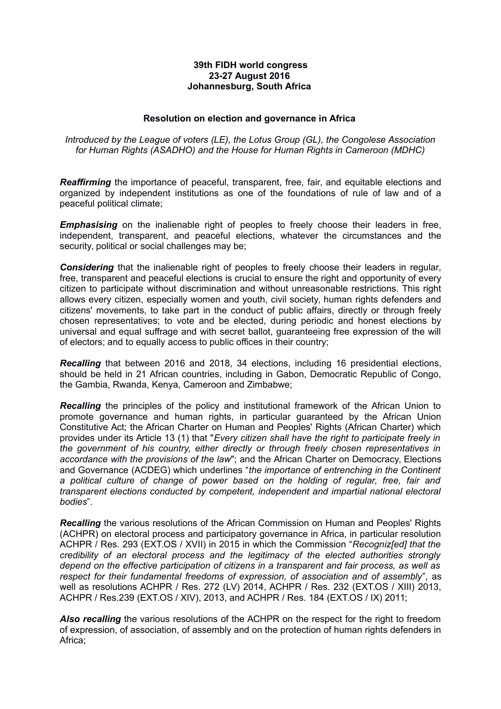## **39th FIDH world congress 23-27 August 2016 Johannesburg, South Africa**

## **Resolution on election and governance in Africa**

*Introduced by the League of voters (LE), the Lotus Group (GL), the Congolese Association for Human Rights (ASADHO) and the House for Human Rights in Cameroon (MDHC)*

*Reaffirming* the importance of peaceful, transparent, free, fair, and equitable elections and organized by independent institutions as one of the foundations of rule of law and of a peaceful political climate;

*Emphasising* on the inalienable right of peoples to freely choose their leaders in free, independent, transparent, and peaceful elections, whatever the circumstances and the security, political or social challenges may be;

*Considering* that the inalienable right of peoples to freely choose their leaders in regular, free, transparent and peaceful elections is crucial to ensure the right and opportunity of every citizen to participate without discrimination and without unreasonable restrictions. This right allows every citizen, especially women and youth, civil society, human rights defenders and citizens' movements, to take part in the conduct of public affairs, directly or through freely chosen representatives; to vote and be elected, during periodic and honest elections by universal and equal suffrage and with secret ballot, guaranteeing free expression of the will of electors; and to equally access to public offices in their country;

*Recalling* that between 2016 and 2018, 34 elections, including 16 presidential elections, should be held in 21 African countries, including in Gabon, Democratic Republic of Congo, the Gambia, Rwanda, Kenya, Cameroon and Zimbabwe;

*Recalling* the principles of the policy and institutional framework of the African Union to promote governance and human rights, in particular guaranteed by the African Union Constitutive Act; the African Charter on Human and Peoples' Rights (African Charter) which provides under its Article 13 (1) that "*Every citizen shall have the right to participate freely in the government of his country, either directly or through freely chosen representatives in accordance with the provisions of the law*"; and the African Charter on Democracy, Elections and Governance (ACDEG) which underlines "*the importance of entrenching in the Continent a political culture of change of power based on the holding of regular, free, fair and transparent elections conducted by competent, independent and impartial national electoral bodies*".

*Recalling* the various resolutions of the African Commission on Human and Peoples' Rights (ACHPR) on electoral process and participatory governance in Africa, in particular resolution ACHPR / Res. 293 (EXT.OS / XVII) in 2015 in which the Commission "*Recogniz[ed] that the credibility of an electoral process and the legitimacy of the elected authorities strongly depend on the effective participation of citizens in a transparent and fair process, as well as respect for their fundamental freedoms of expression, of association and of assembly*", as well as resolutions ACHPR / Res. 272 (LV) 2014, ACHPR / Res. 232 (EXT.OS / XIII) 2013, ACHPR / Res.239 (EXT.OS / XIV), 2013, and ACHPR / Res. 184 (EXT.OS / IX) 2011;

**Also recalling** the various resolutions of the ACHPR on the respect for the right to freedom of expression, of association, of assembly and on the protection of human rights defenders in Africa;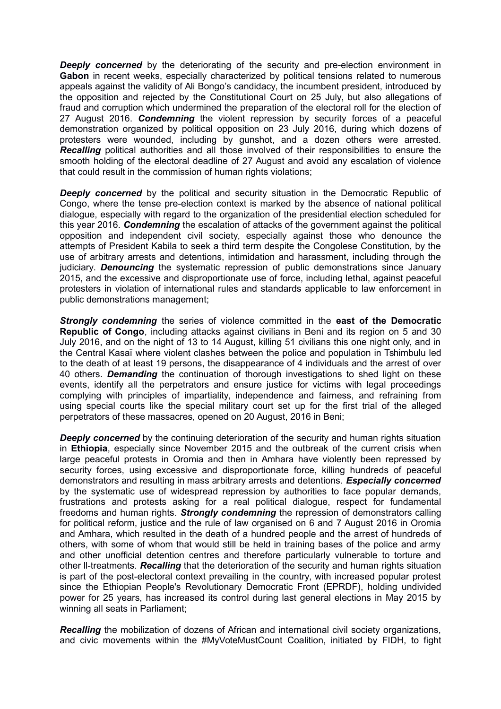**Deeply concerned** by the deteriorating of the security and pre-election environment in **Gabon** in recent weeks, especially characterized by political tensions related to numerous appeals against the validity of Ali Bongo's candidacy, the incumbent president, introduced by the opposition and rejected by the Constitutional Court on 25 July, but also allegations of fraud and corruption which undermined the preparation of the electoral roll for the election of 27 August 2016. *Condemning* the violent repression by security forces of a peaceful demonstration organized by political opposition on 23 July 2016, during which dozens of protesters were wounded, including by gunshot, and a dozen others were arrested. *Recalling* political authorities and all those involved of their responsibilities to ensure the smooth holding of the electoral deadline of 27 August and avoid any escalation of violence that could result in the commission of human rights violations;

**Deeply concerned** by the political and security situation in the Democratic Republic of Congo, where the tense pre-election context is marked by the absence of national political dialogue, especially with regard to the organization of the presidential election scheduled for this year 2016. *Condemning* the escalation of attacks of the government against the political opposition and independent civil society, especially against those who denounce the attempts of President Kabila to seek a third term despite the Congolese Constitution, by the use of arbitrary arrests and detentions, intimidation and harassment, including through the judiciary. *Denouncing* the systematic repression of public demonstrations since January 2015, and the excessive and disproportionate use of force, including lethal, against peaceful protesters in violation of international rules and standards applicable to law enforcement in public demonstrations management;

*Strongly condemning* the series of violence committed in the **east of the Democratic Republic of Congo**, including attacks against civilians in Beni and its region on 5 and 30 July 2016, and on the night of 13 to 14 August, killing 51 civilians this one night only, and in the Central Kasaï where violent clashes between the police and population in Tshimbulu led to the death of at least 19 persons, the disappearance of 4 individuals and the arrest of over 40 others. *Demanding* the continuation of thorough investigations to shed light on these events, identify all the perpetrators and ensure justice for victims with legal proceedings complying with principles of impartiality, independence and fairness, and refraining from using special courts like the special military court set up for the first trial of the alleged perpetrators of these massacres, opened on 20 August, 2016 in Beni;

**Deeply concerned** by the continuing deterioration of the security and human rights situation in **Ethiopia**, especially since November 2015 and the outbreak of the current crisis when large peaceful protests in Oromia and then in Amhara have violently been repressed by security forces, using excessive and disproportionate force, killing hundreds of peaceful demonstrators and resulting in mass arbitrary arrests and detentions. *Especially concerned* by the systematic use of widespread repression by authorities to face popular demands, frustrations and protests asking for a real political dialogue, respect for fundamental freedoms and human rights. *Strongly condemning* the repression of demonstrators calling for political reform, justice and the rule of law organised on 6 and 7 August 2016 in Oromia and Amhara, which resulted in the death of a hundred people and the arrest of hundreds of others, with some of whom that would still be held in training bases of the police and army and other unofficial detention centres and therefore particularly vulnerable to torture and other ll-treatments. *Recalling* that the deterioration of the security and human rights situation is part of the post-electoral context prevailing in the country, with increased popular protest since the Ethiopian People's Revolutionary Democratic Front (EPRDF), holding undivided power for 25 years, has increased its control during last general elections in May 2015 by winning all seats in Parliament;

*Recalling* the mobilization of dozens of African and international civil society organizations, and civic movements within the #MyVoteMustCount Coalition, initiated by FIDH, to fight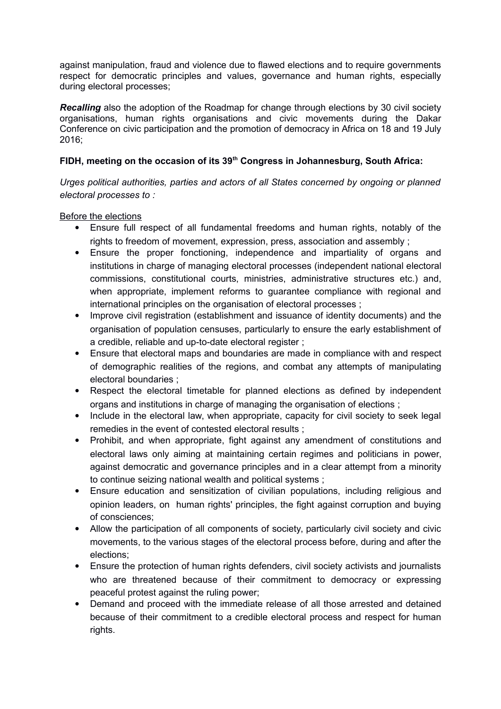against manipulation, fraud and violence due to flawed elections and to require governments respect for democratic principles and values, governance and human rights, especially during electoral processes;

*Recalling* also the adoption of the Roadmap for change through elections by 30 civil society organisations, human rights organisations and civic movements during the Dakar Conference on civic participation and the promotion of democracy in Africa on 18 and 19 July 2016;

## **FIDH, meeting on the occasion of its 39th Congress in Johannesburg, South Africa:**

*Urges political authorities, parties and actors of all States concerned by ongoing or planned electoral processes to :*

Before the elections

- Ensure full respect of all fundamental freedoms and human rights, notably of the rights to freedom of movement, expression, press, association and assembly ;
- Ensure the proper fonctioning, independence and impartiality of organs and institutions in charge of managing electoral processes (independent national electoral commissions, constitutional courts, ministries, administrative structures etc.) and, when appropriate, implement reforms to guarantee compliance with regional and international principles on the organisation of electoral processes ;
- Improve civil registration (establishment and issuance of identity documents) and the organisation of population censuses, particularly to ensure the early establishment of a credible, reliable and up-to-date electoral register ;
- Ensure that electoral maps and boundaries are made in compliance with and respect of demographic realities of the regions, and combat any attempts of manipulating electoral boundaries ;
- Respect the electoral timetable for planned elections as defined by independent organs and institutions in charge of managing the organisation of elections ;
- Include in the electoral law, when appropriate, capacity for civil society to seek legal remedies in the event of contested electoral results ;
- Prohibit, and when appropriate, fight against any amendment of constitutions and electoral laws only aiming at maintaining certain regimes and politicians in power, against democratic and governance principles and in a clear attempt from a minority to continue seizing national wealth and political systems ;
- Ensure education and sensitization of civilian populations, including religious and opinion leaders, on human rights' principles, the fight against corruption and buying of consciences;
- Allow the participation of all components of society, particularly civil society and civic movements, to the various stages of the electoral process before, during and after the elections;
- Ensure the protection of human rights defenders, civil society activists and journalists who are threatened because of their commitment to democracy or expressing peaceful protest against the ruling power;
- Demand and proceed with the immediate release of all those arrested and detained because of their commitment to a credible electoral process and respect for human rights.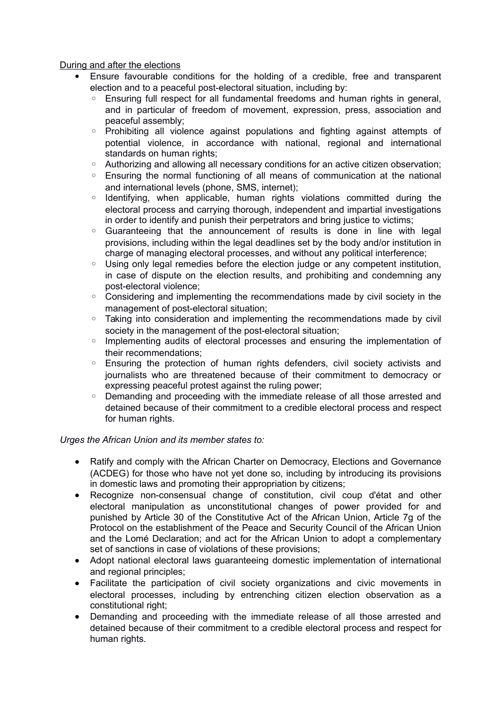During and after the elections

- Ensure favourable conditions for the holding of a credible, free and transparent election and to a peaceful post-electoral situation, including by:
	- Ensuring full respect for all fundamental freedoms and human rights in general, and in particular of freedom of movement, expression, press, association and peaceful assembly;
	- Prohibiting all violence against populations and fighting against attempts of potential violence, in accordance with national, regional and international standards on human rights;
	- Authorizing and allowing all necessary conditions for an active citizen observation;
	- Ensuring the normal functioning of all means of communication at the national and international levels (phone, SMS, internet);
	- Identifying, when applicable, human rights violations committed during the electoral process and carrying thorough, independent and impartial investigations in order to identify and punish their perpetrators and bring justice to victims;
	- Guaranteeing that the announcement of results is done in line with legal provisions, including within the legal deadlines set by the body and/or institution in charge of managing electoral processes, and without any political interference;
	- Using only legal remedies before the election judge or any competent institution, in case of dispute on the election results, and prohibiting and condemning any post-electoral violence;
	- Considering and implementing the recommendations made by civil society in the management of post-electoral situation;
	- Taking into consideration and implementing the recommendations made by civil society in the management of the post-electoral situation;
	- Implementing audits of electoral processes and ensuring the implementation of their recommendations;
	- Ensuring the protection of human rights defenders, civil society activists and journalists who are threatened because of their commitment to democracy or expressing peaceful protest against the ruling power;
	- Demanding and proceeding with the immediate release of all those arrested and detained because of their commitment to a credible electoral process and respect for human rights.

## *Urges the African Union and its member states to:*

- Ratify and comply with the African Charter on Democracy, Elections and Governance (ACDEG) for those who have not yet done so, including by introducing its provisions in domestic laws and promoting their appropriation by citizens;
- Recognize non-consensual change of constitution, civil coup d'état and other electoral manipulation as unconstitutional changes of power provided for and punished by Article 30 of the Constitutive Act of the African Union, Article 7g of the Protocol on the establishment of the Peace and Security Council of the African Union and the Lomé Declaration; and act for the African Union to adopt a complementary set of sanctions in case of violations of these provisions;
- Adopt national electoral laws guaranteeing domestic implementation of international and regional principles;
- Facilitate the participation of civil society organizations and civic movements in electoral processes, including by entrenching citizen election observation as a constitutional right;
- Demanding and proceeding with the immediate release of all those arrested and detained because of their commitment to a credible electoral process and respect for human rights.